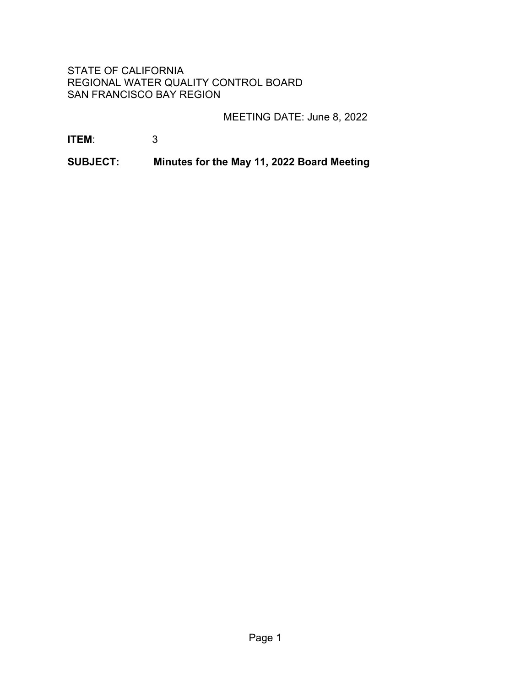# STATE OF CALIFORNIA REGIONAL WATER QUALITY CONTROL BOARD SAN FRANCISCO BAY REGION

MEETING DATE: June 8, 2022

**ITEM**: 3

**SUBJECT: Minutes for the May 11, 2022 Board Meeting**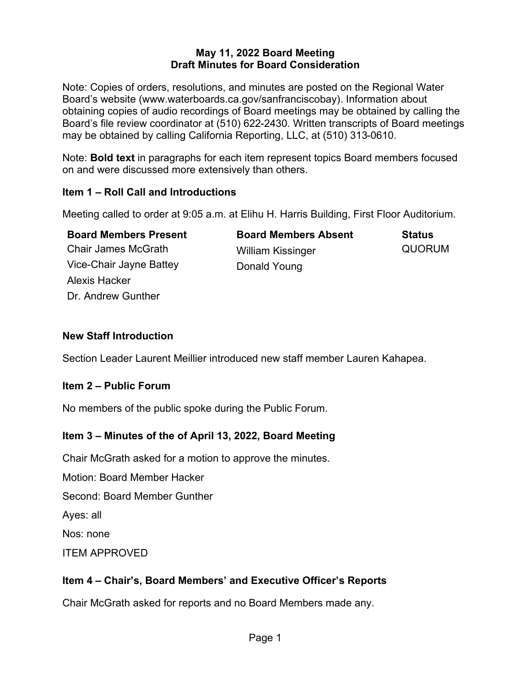#### **May 11, 2022 Board Meeting Draft Minutes for Board Consideration**

Note: Copies of orders, resolutions, and minutes are posted on the Regional Water Board's website (www.waterboards.ca.gov/sanfranciscobay). Information about obtaining copies of audio recordings of Board meetings may be obtained by calling the Board's file review coordinator at (510) 622-2430. Written transcripts of Board meetings may be obtained by calling California Reporting, LLC, at (510) 313-0610.

Note: **Bold text** in paragraphs for each item represent topics Board members focused on and were discussed more extensively than others.

## **Item 1 – Roll Call and Introductions**

Meeting called to order at 9:05 a.m. at Elihu H. Harris Building, First Floor Auditorium.

| <b>Board Members Present</b> | <b>Board Members Absent</b> | <b>Status</b> |
|------------------------------|-----------------------------|---------------|
| <b>Chair James McGrath</b>   | <b>William Kissinger</b>    | <b>QUORUM</b> |
| Vice-Chair Jayne Battey      | Donald Young                |               |
| Alexis Hacker                |                             |               |
| Dr. Andrew Gunther           |                             |               |

## **New Staff Introduction**

Section Leader Laurent Meillier introduced new staff member Lauren Kahapea.

# **Item 2 – Public Forum**

No members of the public spoke during the Public Forum.

# **Item 3 – Minutes of the of April 13, 2022, Board Meeting**

Chair McGrath asked for a motion to approve the minutes.

Motion: Board Member Hacker

Second: Board Member Gunther

Ayes: all

Nos: none

ITEM APPROVED

# **Item 4 – Chair's, Board Members' and Executive Officer's Reports**

Chair McGrath asked for reports and no Board Members made any.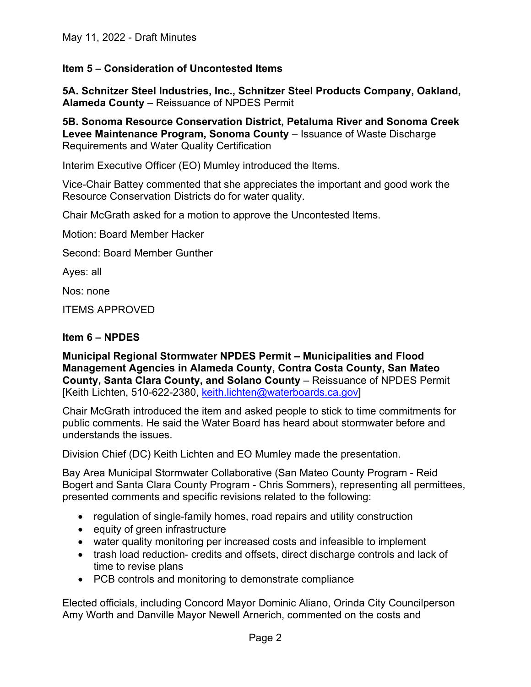May 11, 2022 - Draft Minutes

### **Item 5 – Consideration of Uncontested Items**

**5A. Schnitzer Steel Industries, Inc., Schnitzer Steel Products Company, Oakland, Alameda County** – Reissuance of NPDES Permit

**5B. Sonoma Resource Conservation District, Petaluma River and Sonoma Creek Levee Maintenance Program, Sonoma County** – Issuance of Waste Discharge Requirements and Water Quality Certification

Interim Executive Officer (EO) Mumley introduced the Items.

Vice-Chair Battey commented that she appreciates the important and good work the Resource Conservation Districts do for water quality.

Chair McGrath asked for a motion to approve the Uncontested Items.

Motion: Board Member Hacker

Second: Board Member Gunther

Ayes: all

Nos: none

ITEMS APPROVED

#### **Item 6 – NPDES**

**Municipal Regional Stormwater NPDES Permit – Municipalities and Flood Management Agencies in Alameda County, Contra Costa County, San Mateo County, Santa Clara County, and Solano County - Reissuance of NPDES Permit** [Keith Lichten, 510-622-2380, [keith.lichten@waterboards.ca.gov](mailto:keith.lichten@waterboards.ca.gov)]

Chair McGrath introduced the item and asked people to stick to time commitments for public comments. He said the Water Board has heard about stormwater before and understands the issues.

Division Chief (DC) Keith Lichten and EO Mumley made the presentation.

Bay Area Municipal Stormwater Collaborative (San Mateo County Program - Reid Bogert and Santa Clara County Program - Chris Sommers), representing all permittees, presented comments and specific revisions related to the following:

- · regulation of single-family homes, road repairs and utility construction
- · equity of green infrastructure
- · water quality monitoring per increased costs and infeasible to implement
- trash load reduction- credits and offsets, direct discharge controls and lack of time to revise plans
- · PCB controls and monitoring to demonstrate compliance

Elected officials, including Concord Mayor Dominic Aliano, Orinda City Councilperson Amy Worth and Danville Mayor Newell Arnerich, commented on the costs and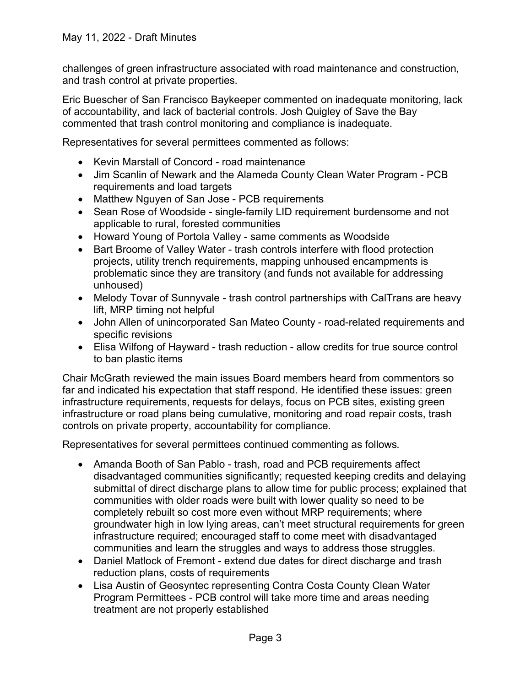challenges of green infrastructure associated with road maintenance and construction, and trash control at private properties.

Eric Buescher of San Francisco Baykeeper commented on inadequate monitoring, lack of accountability, and lack of bacterial controls. Josh Quigley of Save the Bay commented that trash control monitoring and compliance is inadequate.

Representatives for several permittees commented as follows:

- · Kevin Marstall of Concord road maintenance
- · Jim Scanlin of Newark and the Alameda County Clean Water Program PCB requirements and load targets
- · Matthew Nguyen of San Jose PCB requirements
- Sean Rose of Woodside single-family LID requirement burdensome and not applicable to rural, forested communities
- · Howard Young of Portola Valley same comments as Woodside
- · Bart Broome of Valley Water trash controls interfere with flood protection projects, utility trench requirements, mapping unhoused encampments is problematic since they are transitory (and funds not available for addressing unhoused)
- · Melody Tovar of Sunnyvale trash control partnerships with CalTrans are heavy lift, MRP timing not helpful
- · John Allen of unincorporated San Mateo County road-related requirements and specific revisions
- · Elisa Wilfong of Hayward trash reduction allow credits for true source control to ban plastic items

Chair McGrath reviewed the main issues Board members heard from commentors so far and indicated his expectation that staff respond. He identified these issues: green infrastructure requirements, requests for delays, focus on PCB sites, existing green infrastructure or road plans being cumulative, monitoring and road repair costs, trash controls on private property, accountability for compliance.

Representatives for several permittees continued commenting as follows.

- Amanda Booth of San Pablo trash, road and PCB requirements affect disadvantaged communities significantly; requested keeping credits and delaying submittal of direct discharge plans to allow time for public process; explained that communities with older roads were built with lower quality so need to be completely rebuilt so cost more even without MRP requirements; where groundwater high in low lying areas, can't meet structural requirements for green infrastructure required; encouraged staff to come meet with disadvantaged communities and learn the struggles and ways to address those struggles.
- Daniel Matlock of Fremont extend due dates for direct discharge and trash reduction plans, costs of requirements
- · Lisa Austin of Geosyntec representing Contra Costa County Clean Water Program Permittees - PCB control will take more time and areas needing treatment are not properly established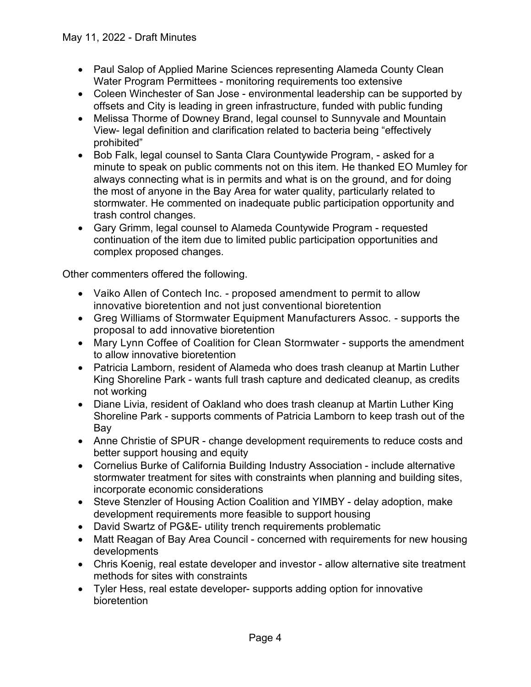- Paul Salop of Applied Marine Sciences representing Alameda County Clean Water Program Permittees - monitoring requirements too extensive
- · Coleen Winchester of San Jose environmental leadership can be supported by offsets and City is leading in green infrastructure, funded with public funding
- · Melissa Thorme of Downey Brand, legal counsel to Sunnyvale and Mountain View- legal definition and clarification related to bacteria being "effectively prohibited"
- · Bob Falk, legal counsel to Santa Clara Countywide Program, asked for a minute to speak on public comments not on this item. He thanked EO Mumley for always connecting what is in permits and what is on the ground, and for doing the most of anyone in the Bay Area for water quality, particularly related to stormwater. He commented on inadequate public participation opportunity and trash control changes.
- · Gary Grimm, legal counsel to Alameda Countywide Program requested continuation of the item due to limited public participation opportunities and complex proposed changes.

Other commenters offered the following.

- · Vaiko Allen of Contech Inc. proposed amendment to permit to allow innovative bioretention and not just conventional bioretention
- · Greg Williams of Stormwater Equipment Manufacturers Assoc. supports the proposal to add innovative bioretention
- · Mary Lynn Coffee of Coalition for Clean Stormwater supports the amendment to allow innovative bioretention
- · Patricia Lamborn, resident of Alameda who does trash cleanup at Martin Luther King Shoreline Park - wants full trash capture and dedicated cleanup, as credits not working
- · Diane Livia, resident of Oakland who does trash cleanup at Martin Luther King Shoreline Park - supports comments of Patricia Lamborn to keep trash out of the Bay
- · Anne Christie of SPUR change development requirements to reduce costs and better support housing and equity
- · Cornelius Burke of California Building Industry Association include alternative stormwater treatment for sites with constraints when planning and building sites, incorporate economic considerations
- Steve Stenzler of Housing Action Coalition and YIMBY delay adoption, make development requirements more feasible to support housing
- · David Swartz of PG&E- utility trench requirements problematic
- Matt Reagan of Bay Area Council concerned with requirements for new housing developments
- Chris Koenig, real estate developer and investor allow alternative site treatment methods for sites with constraints
- · Tyler Hess, real estate developer- supports adding option for innovative bioretention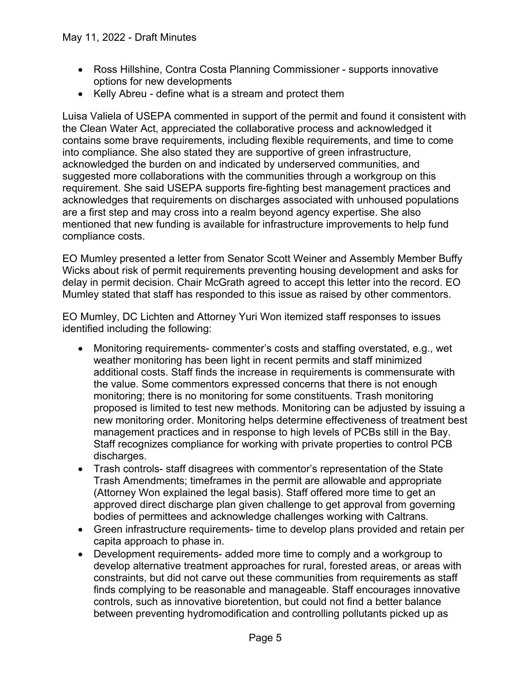- · Ross Hillshine, Contra Costa Planning Commissioner supports innovative options for new developments
- Kelly Abreu define what is a stream and protect them

Luisa Valiela of USEPA commented in support of the permit and found it consistent with the Clean Water Act, appreciated the collaborative process and acknowledged it contains some brave requirements, including flexible requirements, and time to come into compliance. She also stated they are supportive of green infrastructure, acknowledged the burden on and indicated by underserved communities, and suggested more collaborations with the communities through a workgroup on this requirement. She said USEPA supports fire-fighting best management practices and acknowledges that requirements on discharges associated with unhoused populations are a first step and may cross into a realm beyond agency expertise. She also mentioned that new funding is available for infrastructure improvements to help fund compliance costs.

EO Mumley presented a letter from Senator Scott Weiner and Assembly Member Buffy Wicks about risk of permit requirements preventing housing development and asks for delay in permit decision. Chair McGrath agreed to accept this letter into the record. EO Mumley stated that staff has responded to this issue as raised by other commentors.

EO Mumley, DC Lichten and Attorney Yuri Won itemized staff responses to issues identified including the following:

- · Monitoring requirements- commenter's costs and staffing overstated, e.g., wet weather monitoring has been light in recent permits and staff minimized additional costs. Staff finds the increase in requirements is commensurate with the value. Some commentors expressed concerns that there is not enough monitoring; there is no monitoring for some constituents. Trash monitoring proposed is limited to test new methods. Monitoring can be adjusted by issuing a new monitoring order. Monitoring helps determine effectiveness of treatment best management practices and in response to high levels of PCBs still in the Bay. Staff recognizes compliance for working with private properties to control PCB discharges.
- · Trash controls- staff disagrees with commentor's representation of the State Trash Amendments; timeframes in the permit are allowable and appropriate (Attorney Won explained the legal basis). Staff offered more time to get an approved direct discharge plan given challenge to get approval from governing bodies of permittees and acknowledge challenges working with Caltrans.
- · Green infrastructure requirements- time to develop plans provided and retain per capita approach to phase in.
- · Development requirements- added more time to comply and a workgroup to develop alternative treatment approaches for rural, forested areas, or areas with constraints, but did not carve out these communities from requirements as staff finds complying to be reasonable and manageable. Staff encourages innovative controls, such as innovative bioretention, but could not find a better balance between preventing hydromodification and controlling pollutants picked up as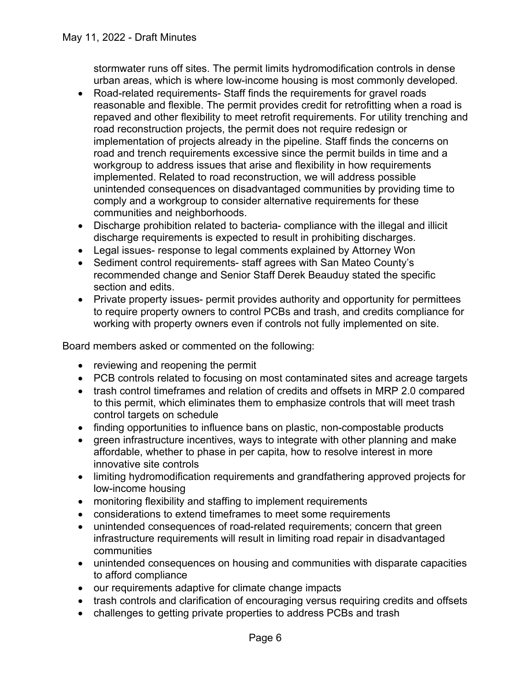stormwater runs off sites. The permit limits hydromodification controls in dense urban areas, which is where low-income housing is most commonly developed.

- · Road-related requirements- Staff finds the requirements for gravel roads reasonable and flexible. The permit provides credit for retrofitting when a road is repaved and other flexibility to meet retrofit requirements. For utility trenching and road reconstruction projects, the permit does not require redesign or implementation of projects already in the pipeline. Staff finds the concerns on road and trench requirements excessive since the permit builds in time and a workgroup to address issues that arise and flexibility in how requirements implemented. Related to road reconstruction, we will address possible unintended consequences on disadvantaged communities by providing time to comply and a workgroup to consider alternative requirements for these communities and neighborhoods.
- · Discharge prohibition related to bacteria- compliance with the illegal and illicit discharge requirements is expected to result in prohibiting discharges.
- · Legal issues- response to legal comments explained by Attorney Won
- · Sediment control requirements- staff agrees with San Mateo County's recommended change and Senior Staff Derek Beauduy stated the specific section and edits.
- · Private property issues- permit provides authority and opportunity for permittees to require property owners to control PCBs and trash, and credits compliance for working with property owners even if controls not fully implemented on site.

Board members asked or commented on the following:

- reviewing and reopening the permit
- · PCB controls related to focusing on most contaminated sites and acreage targets
- trash control timeframes and relation of credits and offsets in MRP 2.0 compared to this permit, which eliminates them to emphasize controls that will meet trash control targets on schedule
- · finding opportunities to influence bans on plastic, non-compostable products
- · green infrastructure incentives, ways to integrate with other planning and make affordable, whether to phase in per capita, how to resolve interest in more innovative site controls
- · limiting hydromodification requirements and grandfathering approved projects for low-income housing
- monitoring flexibility and staffing to implement requirements
- · considerations to extend timeframes to meet some requirements
- · unintended consequences of road-related requirements; concern that green infrastructure requirements will result in limiting road repair in disadvantaged communities
- · unintended consequences on housing and communities with disparate capacities to afford compliance
- · our requirements adaptive for climate change impacts
- trash controls and clarification of encouraging versus requiring credits and offsets
- · challenges to getting private properties to address PCBs and trash